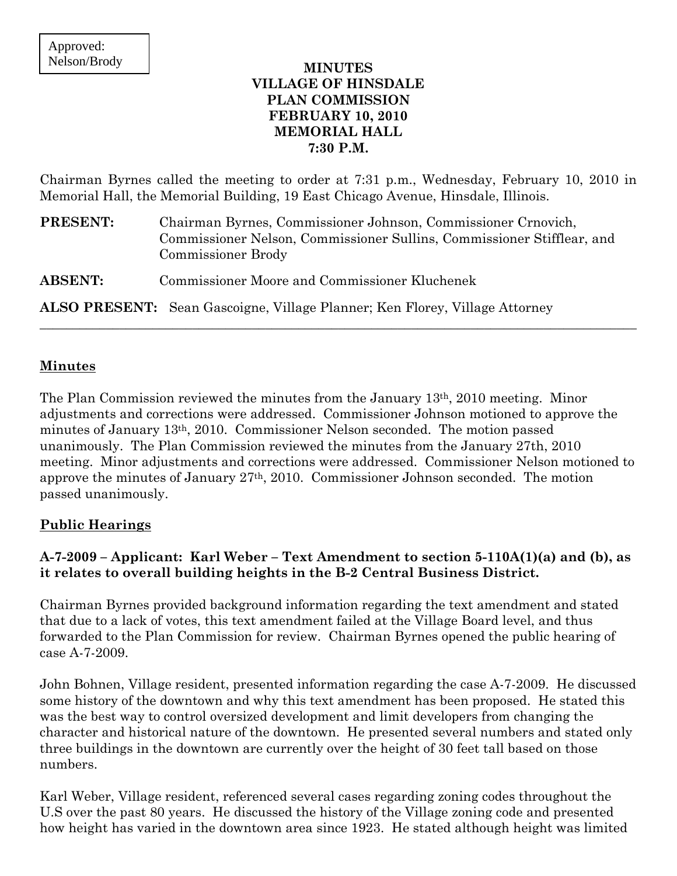## **MINUTES VILLAGE OF HINSDALE PLAN COMMISSION FEBRUARY 10, 2010 MEMORIAL HALL 7:30 P.M.**

Chairman Byrnes called the meeting to order at 7:31 p.m., Wednesday, February 10, 2010 in Memorial Hall, the Memorial Building, 19 East Chicago Avenue, Hinsdale, Illinois.

| <b>PRESENT:</b> | Chairman Byrnes, Commissioner Johnson, Commissioner Crnovich,<br>Commissioner Nelson, Commissioner Sullins, Commissioner Stifflear, and<br><b>Commissioner Brody</b> |
|-----------------|----------------------------------------------------------------------------------------------------------------------------------------------------------------------|
| <b>ABSENT:</b>  | Commissioner Moore and Commissioner Kluchenek                                                                                                                        |
|                 | <b>ALSO PRESENT:</b> Sean Gascoigne, Village Planner; Ken Florey, Village Attorney                                                                                   |

## **Minutes**

The Plan Commission reviewed the minutes from the January 13th, 2010 meeting. Minor adjustments and corrections were addressed. Commissioner Johnson motioned to approve the minutes of January 13th, 2010. Commissioner Nelson seconded. The motion passed unanimously. The Plan Commission reviewed the minutes from the January 27th, 2010 meeting. Minor adjustments and corrections were addressed. Commissioner Nelson motioned to approve the minutes of January 27th, 2010. Commissioner Johnson seconded. The motion passed unanimously.

### **Public Hearings**

# **A-7-2009 – Applicant: Karl Weber – Text Amendment to section 5-110A(1)(a) and (b), as it relates to overall building heights in the B-2 Central Business District.**

Chairman Byrnes provided background information regarding the text amendment and stated that due to a lack of votes, this text amendment failed at the Village Board level, and thus forwarded to the Plan Commission for review. Chairman Byrnes opened the public hearing of case A-7-2009.

John Bohnen, Village resident, presented information regarding the case A-7-2009. He discussed some history of the downtown and why this text amendment has been proposed. He stated this was the best way to control oversized development and limit developers from changing the character and historical nature of the downtown. He presented several numbers and stated only three buildings in the downtown are currently over the height of 30 feet tall based on those numbers.

Karl Weber, Village resident, referenced several cases regarding zoning codes throughout the U.S over the past 80 years. He discussed the history of the Village zoning code and presented how height has varied in the downtown area since 1923. He stated although height was limited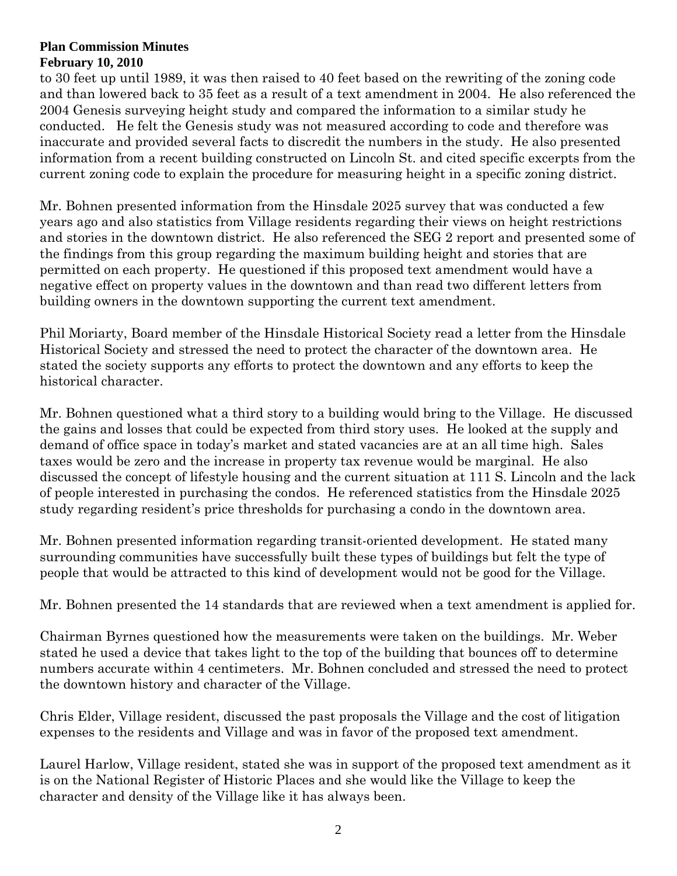to 30 feet up until 1989, it was then raised to 40 feet based on the rewriting of the zoning code and than lowered back to 35 feet as a result of a text amendment in 2004. He also referenced the 2004 Genesis surveying height study and compared the information to a similar study he conducted. He felt the Genesis study was not measured according to code and therefore was inaccurate and provided several facts to discredit the numbers in the study. He also presented information from a recent building constructed on Lincoln St. and cited specific excerpts from the current zoning code to explain the procedure for measuring height in a specific zoning district.

Mr. Bohnen presented information from the Hinsdale 2025 survey that was conducted a few years ago and also statistics from Village residents regarding their views on height restrictions and stories in the downtown district. He also referenced the SEG 2 report and presented some of the findings from this group regarding the maximum building height and stories that are permitted on each property. He questioned if this proposed text amendment would have a negative effect on property values in the downtown and than read two different letters from building owners in the downtown supporting the current text amendment.

Phil Moriarty, Board member of the Hinsdale Historical Society read a letter from the Hinsdale Historical Society and stressed the need to protect the character of the downtown area. He stated the society supports any efforts to protect the downtown and any efforts to keep the historical character.

Mr. Bohnen questioned what a third story to a building would bring to the Village. He discussed the gains and losses that could be expected from third story uses. He looked at the supply and demand of office space in today's market and stated vacancies are at an all time high. Sales taxes would be zero and the increase in property tax revenue would be marginal. He also discussed the concept of lifestyle housing and the current situation at 111 S. Lincoln and the lack of people interested in purchasing the condos. He referenced statistics from the Hinsdale 2025 study regarding resident's price thresholds for purchasing a condo in the downtown area.

Mr. Bohnen presented information regarding transit-oriented development. He stated many surrounding communities have successfully built these types of buildings but felt the type of people that would be attracted to this kind of development would not be good for the Village.

Mr. Bohnen presented the 14 standards that are reviewed when a text amendment is applied for.

Chairman Byrnes questioned how the measurements were taken on the buildings. Mr. Weber stated he used a device that takes light to the top of the building that bounces off to determine numbers accurate within 4 centimeters. Mr. Bohnen concluded and stressed the need to protect the downtown history and character of the Village.

Chris Elder, Village resident, discussed the past proposals the Village and the cost of litigation expenses to the residents and Village and was in favor of the proposed text amendment.

Laurel Harlow, Village resident, stated she was in support of the proposed text amendment as it is on the National Register of Historic Places and she would like the Village to keep the character and density of the Village like it has always been.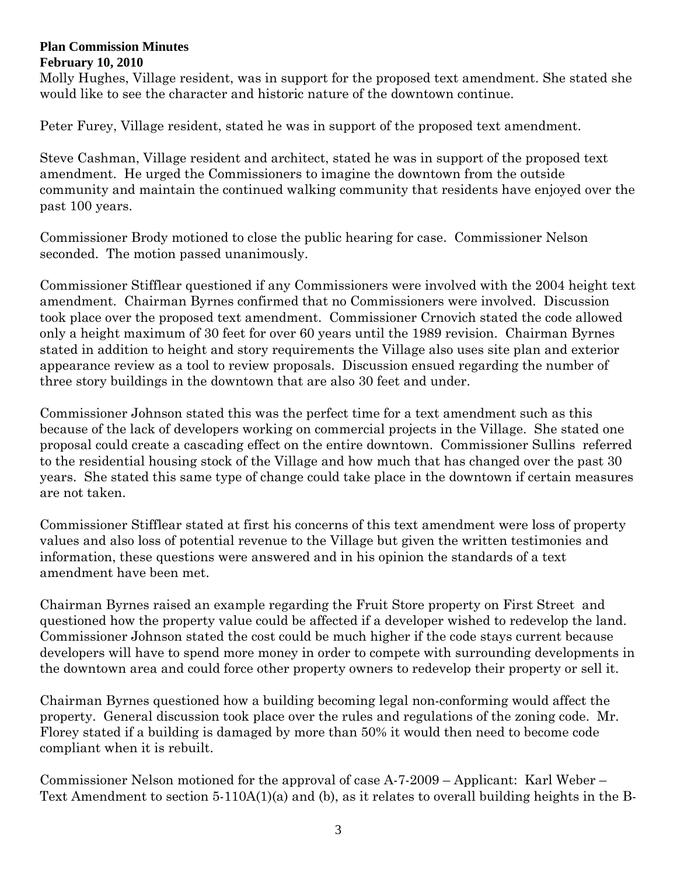Molly Hughes, Village resident, was in support for the proposed text amendment. She stated she would like to see the character and historic nature of the downtown continue.

Peter Furey, Village resident, stated he was in support of the proposed text amendment.

Steve Cashman, Village resident and architect, stated he was in support of the proposed text amendment. He urged the Commissioners to imagine the downtown from the outside community and maintain the continued walking community that residents have enjoyed over the past 100 years.

Commissioner Brody motioned to close the public hearing for case. Commissioner Nelson seconded. The motion passed unanimously.

Commissioner Stifflear questioned if any Commissioners were involved with the 2004 height text amendment. Chairman Byrnes confirmed that no Commissioners were involved. Discussion took place over the proposed text amendment. Commissioner Crnovich stated the code allowed only a height maximum of 30 feet for over 60 years until the 1989 revision. Chairman Byrnes stated in addition to height and story requirements the Village also uses site plan and exterior appearance review as a tool to review proposals. Discussion ensued regarding the number of three story buildings in the downtown that are also 30 feet and under.

Commissioner Johnson stated this was the perfect time for a text amendment such as this because of the lack of developers working on commercial projects in the Village. She stated one proposal could create a cascading effect on the entire downtown. Commissioner Sullins referred to the residential housing stock of the Village and how much that has changed over the past 30 years. She stated this same type of change could take place in the downtown if certain measures are not taken.

Commissioner Stifflear stated at first his concerns of this text amendment were loss of property values and also loss of potential revenue to the Village but given the written testimonies and information, these questions were answered and in his opinion the standards of a text amendment have been met.

Chairman Byrnes raised an example regarding the Fruit Store property on First Street and questioned how the property value could be affected if a developer wished to redevelop the land. Commissioner Johnson stated the cost could be much higher if the code stays current because developers will have to spend more money in order to compete with surrounding developments in the downtown area and could force other property owners to redevelop their property or sell it.

Chairman Byrnes questioned how a building becoming legal non-conforming would affect the property. General discussion took place over the rules and regulations of the zoning code. Mr. Florey stated if a building is damaged by more than 50% it would then need to become code compliant when it is rebuilt.

Commissioner Nelson motioned for the approval of case A-7-2009 – Applicant: Karl Weber – Text Amendment to section 5-110A(1)(a) and (b), as it relates to overall building heights in the B-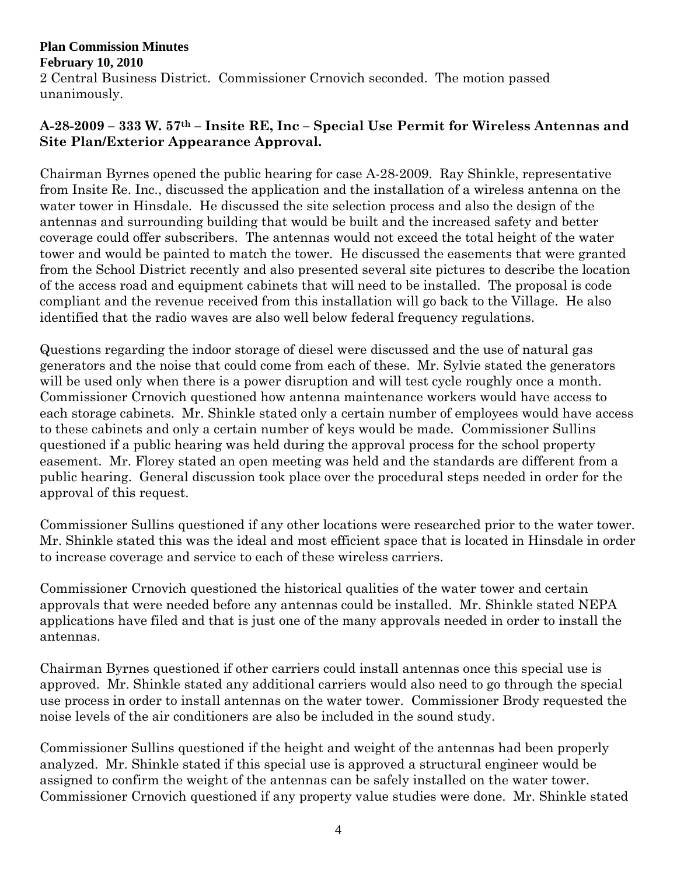## **Plan Commission Minutes February 10, 2010**  2 Central Business District. Commissioner Crnovich seconded. The motion passed unanimously.

# **A-28-2009 – 333 W. 57th – Insite RE, Inc – Special Use Permit for Wireless Antennas and Site Plan/Exterior Appearance Approval.**

Chairman Byrnes opened the public hearing for case A-28-2009. Ray Shinkle, representative from Insite Re. Inc., discussed the application and the installation of a wireless antenna on the water tower in Hinsdale. He discussed the site selection process and also the design of the antennas and surrounding building that would be built and the increased safety and better coverage could offer subscribers. The antennas would not exceed the total height of the water tower and would be painted to match the tower. He discussed the easements that were granted from the School District recently and also presented several site pictures to describe the location of the access road and equipment cabinets that will need to be installed. The proposal is code compliant and the revenue received from this installation will go back to the Village. He also identified that the radio waves are also well below federal frequency regulations.

Questions regarding the indoor storage of diesel were discussed and the use of natural gas generators and the noise that could come from each of these. Mr. Sylvie stated the generators will be used only when there is a power disruption and will test cycle roughly once a month. Commissioner Crnovich questioned how antenna maintenance workers would have access to each storage cabinets. Mr. Shinkle stated only a certain number of employees would have access to these cabinets and only a certain number of keys would be made. Commissioner Sullins questioned if a public hearing was held during the approval process for the school property easement. Mr. Florey stated an open meeting was held and the standards are different from a public hearing. General discussion took place over the procedural steps needed in order for the approval of this request.

Commissioner Sullins questioned if any other locations were researched prior to the water tower. Mr. Shinkle stated this was the ideal and most efficient space that is located in Hinsdale in order to increase coverage and service to each of these wireless carriers.

Commissioner Crnovich questioned the historical qualities of the water tower and certain approvals that were needed before any antennas could be installed. Mr. Shinkle stated NEPA applications have filed and that is just one of the many approvals needed in order to install the antennas.

Chairman Byrnes questioned if other carriers could install antennas once this special use is approved. Mr. Shinkle stated any additional carriers would also need to go through the special use process in order to install antennas on the water tower. Commissioner Brody requested the noise levels of the air conditioners are also be included in the sound study.

Commissioner Sullins questioned if the height and weight of the antennas had been properly analyzed. Mr. Shinkle stated if this special use is approved a structural engineer would be assigned to confirm the weight of the antennas can be safely installed on the water tower. Commissioner Crnovich questioned if any property value studies were done. Mr. Shinkle stated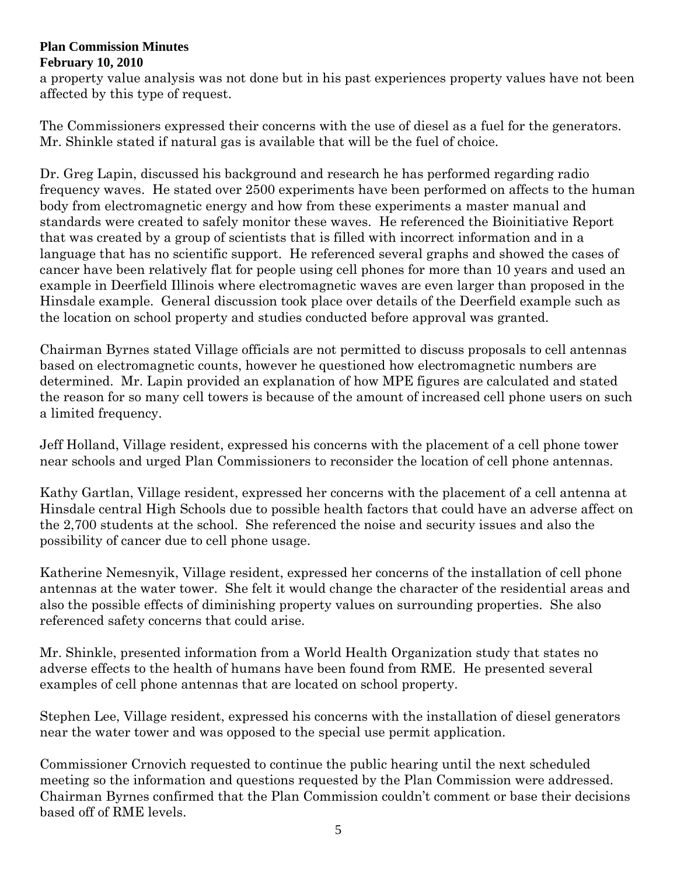a property value analysis was not done but in his past experiences property values have not been affected by this type of request.

The Commissioners expressed their concerns with the use of diesel as a fuel for the generators. Mr. Shinkle stated if natural gas is available that will be the fuel of choice.

Dr. Greg Lapin, discussed his background and research he has performed regarding radio frequency waves. He stated over 2500 experiments have been performed on affects to the human body from electromagnetic energy and how from these experiments a master manual and standards were created to safely monitor these waves. He referenced the Bioinitiative Report that was created by a group of scientists that is filled with incorrect information and in a language that has no scientific support. He referenced several graphs and showed the cases of cancer have been relatively flat for people using cell phones for more than 10 years and used an example in Deerfield Illinois where electromagnetic waves are even larger than proposed in the Hinsdale example. General discussion took place over details of the Deerfield example such as the location on school property and studies conducted before approval was granted.

Chairman Byrnes stated Village officials are not permitted to discuss proposals to cell antennas based on electromagnetic counts, however he questioned how electromagnetic numbers are determined. Mr. Lapin provided an explanation of how MPE figures are calculated and stated the reason for so many cell towers is because of the amount of increased cell phone users on such a limited frequency.

Jeff Holland, Village resident, expressed his concerns with the placement of a cell phone tower near schools and urged Plan Commissioners to reconsider the location of cell phone antennas.

Kathy Gartlan, Village resident, expressed her concerns with the placement of a cell antenna at Hinsdale central High Schools due to possible health factors that could have an adverse affect on the 2,700 students at the school. She referenced the noise and security issues and also the possibility of cancer due to cell phone usage.

Katherine Nemesnyik, Village resident, expressed her concerns of the installation of cell phone antennas at the water tower. She felt it would change the character of the residential areas and also the possible effects of diminishing property values on surrounding properties. She also referenced safety concerns that could arise.

Mr. Shinkle, presented information from a World Health Organization study that states no adverse effects to the health of humans have been found from RME. He presented several examples of cell phone antennas that are located on school property.

Stephen Lee, Village resident, expressed his concerns with the installation of diesel generators near the water tower and was opposed to the special use permit application.

Commissioner Crnovich requested to continue the public hearing until the next scheduled meeting so the information and questions requested by the Plan Commission were addressed. Chairman Byrnes confirmed that the Plan Commission couldn't comment or base their decisions based off of RME levels.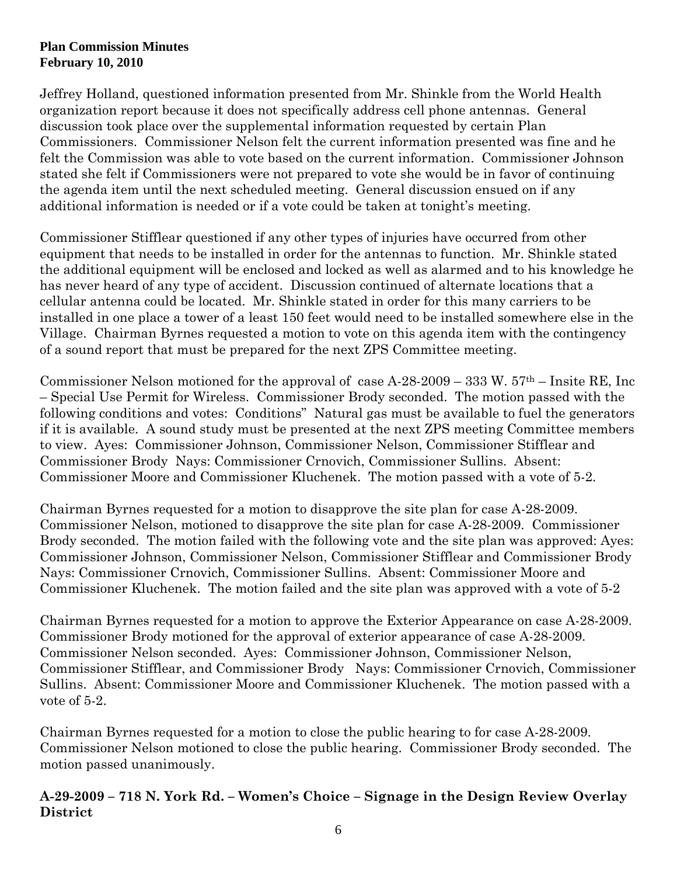Jeffrey Holland, questioned information presented from Mr. Shinkle from the World Health organization report because it does not specifically address cell phone antennas. General discussion took place over the supplemental information requested by certain Plan Commissioners. Commissioner Nelson felt the current information presented was fine and he felt the Commission was able to vote based on the current information. Commissioner Johnson stated she felt if Commissioners were not prepared to vote she would be in favor of continuing the agenda item until the next scheduled meeting. General discussion ensued on if any additional information is needed or if a vote could be taken at tonight's meeting.

Commissioner Stifflear questioned if any other types of injuries have occurred from other equipment that needs to be installed in order for the antennas to function. Mr. Shinkle stated the additional equipment will be enclosed and locked as well as alarmed and to his knowledge he has never heard of any type of accident. Discussion continued of alternate locations that a cellular antenna could be located. Mr. Shinkle stated in order for this many carriers to be installed in one place a tower of a least 150 feet would need to be installed somewhere else in the Village. Chairman Byrnes requested a motion to vote on this agenda item with the contingency of a sound report that must be prepared for the next ZPS Committee meeting.

Commissioner Nelson motioned for the approval of case A-28-2009 – 333 W.  $57<sup>th</sup>$  – Insite RE, Inc – Special Use Permit for Wireless. Commissioner Brody seconded. The motion passed with the following conditions and votes: Conditions" Natural gas must be available to fuel the generators if it is available. A sound study must be presented at the next ZPS meeting Committee members to view. Ayes: Commissioner Johnson, Commissioner Nelson, Commissioner Stifflear and Commissioner Brody Nays: Commissioner Crnovich, Commissioner Sullins. Absent: Commissioner Moore and Commissioner Kluchenek. The motion passed with a vote of 5-2.

Chairman Byrnes requested for a motion to disapprove the site plan for case A-28-2009. Commissioner Nelson, motioned to disapprove the site plan for case A-28-2009. Commissioner Brody seconded. The motion failed with the following vote and the site plan was approved: Ayes: Commissioner Johnson, Commissioner Nelson, Commissioner Stifflear and Commissioner Brody Nays: Commissioner Crnovich, Commissioner Sullins. Absent: Commissioner Moore and Commissioner Kluchenek. The motion failed and the site plan was approved with a vote of 5-2

Chairman Byrnes requested for a motion to approve the Exterior Appearance on case A-28-2009. Commissioner Brody motioned for the approval of exterior appearance of case A-28-2009. Commissioner Nelson seconded. Ayes: Commissioner Johnson, Commissioner Nelson, Commissioner Stifflear, and Commissioner Brody Nays: Commissioner Crnovich, Commissioner Sullins. Absent: Commissioner Moore and Commissioner Kluchenek. The motion passed with a vote of 5-2.

Chairman Byrnes requested for a motion to close the public hearing to for case A-28-2009. Commissioner Nelson motioned to close the public hearing. Commissioner Brody seconded. The motion passed unanimously.

**A-29-2009 – 718 N. York Rd. – Women's Choice – Signage in the Design Review Overlay District**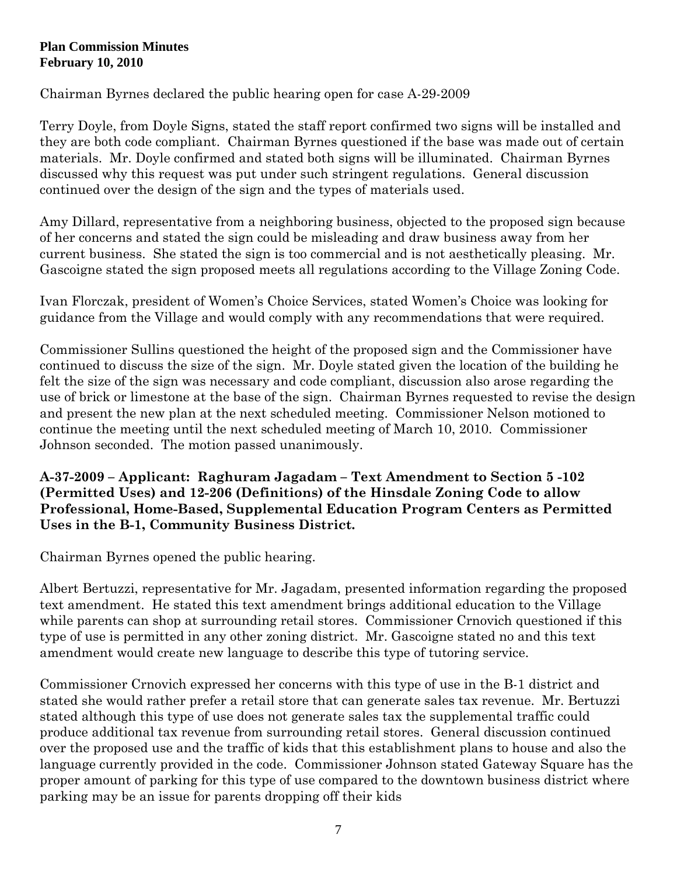Chairman Byrnes declared the public hearing open for case A-29-2009

Terry Doyle, from Doyle Signs, stated the staff report confirmed two signs will be installed and they are both code compliant. Chairman Byrnes questioned if the base was made out of certain materials. Mr. Doyle confirmed and stated both signs will be illuminated. Chairman Byrnes discussed why this request was put under such stringent regulations. General discussion continued over the design of the sign and the types of materials used.

Amy Dillard, representative from a neighboring business, objected to the proposed sign because of her concerns and stated the sign could be misleading and draw business away from her current business. She stated the sign is too commercial and is not aesthetically pleasing. Mr. Gascoigne stated the sign proposed meets all regulations according to the Village Zoning Code.

Ivan Florczak, president of Women's Choice Services, stated Women's Choice was looking for guidance from the Village and would comply with any recommendations that were required.

Commissioner Sullins questioned the height of the proposed sign and the Commissioner have continued to discuss the size of the sign. Mr. Doyle stated given the location of the building he felt the size of the sign was necessary and code compliant, discussion also arose regarding the use of brick or limestone at the base of the sign. Chairman Byrnes requested to revise the design and present the new plan at the next scheduled meeting. Commissioner Nelson motioned to continue the meeting until the next scheduled meeting of March 10, 2010. Commissioner Johnson seconded. The motion passed unanimously.

**A-37-2009 – Applicant: Raghuram Jagadam – Text Amendment to Section 5 -102 (Permitted Uses) and 12-206 (Definitions) of the Hinsdale Zoning Code to allow Professional, Home-Based, Supplemental Education Program Centers as Permitted Uses in the B-1, Community Business District.** 

Chairman Byrnes opened the public hearing.

Albert Bertuzzi, representative for Mr. Jagadam, presented information regarding the proposed text amendment. He stated this text amendment brings additional education to the Village while parents can shop at surrounding retail stores. Commissioner Crnovich questioned if this type of use is permitted in any other zoning district. Mr. Gascoigne stated no and this text amendment would create new language to describe this type of tutoring service.

Commissioner Crnovich expressed her concerns with this type of use in the B-1 district and stated she would rather prefer a retail store that can generate sales tax revenue. Mr. Bertuzzi stated although this type of use does not generate sales tax the supplemental traffic could produce additional tax revenue from surrounding retail stores. General discussion continued over the proposed use and the traffic of kids that this establishment plans to house and also the language currently provided in the code. Commissioner Johnson stated Gateway Square has the proper amount of parking for this type of use compared to the downtown business district where parking may be an issue for parents dropping off their kids